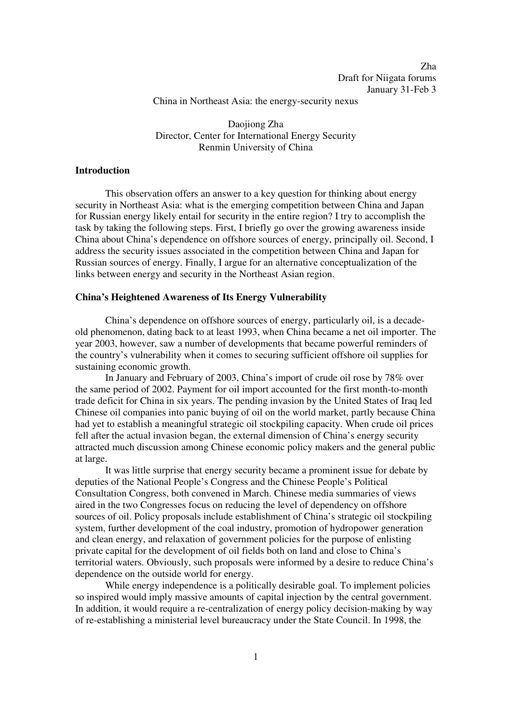China in Northeast Asia: the energy-security nexus

Daojiong Zha Director, Center for International Energy Security Renmin University of China

## **Introduction**

 This observation offers an answer to a key question for thinking about energy security in Northeast Asia: what is the emerging competition between China and Japan for Russian energy likely entail for security in the entire region? I try to accomplish the task by taking the following steps. First, I briefly go over the growing awareness inside China about China's dependence on offshore sources of energy, principally oil. Second, I address the security issues associated in the competition between China and Japan for Russian sources of energy. Finally, I argue for an alternative conceptualization of the links between energy and security in the Northeast Asian region.

## **China's Heightened Awareness of Its Energy Vulnerability**

 China's dependence on offshore sources of energy, particularly oil, is a decadeold phenomenon, dating back to at least 1993, when China became a net oil importer. The year 2003, however, saw a number of developments that became powerful reminders of the country's vulnerability when it comes to securing sufficient offshore oil supplies for sustaining economic growth.

 In January and February of 2003, China's import of crude oil rose by 78% over the same period of 2002. Payment for oil import accounted for the first month-to-month trade deficit for China in six years. The pending invasion by the United States of Iraq led Chinese oil companies into panic buying of oil on the world market, partly because China had yet to establish a meaningful strategic oil stockpiling capacity. When crude oil prices fell after the actual invasion began, the external dimension of China's energy security attracted much discussion among Chinese economic policy makers and the general public at large.

 It was little surprise that energy security became a prominent issue for debate by deputies of the National People's Congress and the Chinese People's Political Consultation Congress, both convened in March. Chinese media summaries of views aired in the two Congresses focus on reducing the level of dependency on offshore sources of oil. Policy proposals include establishment of China's strategic oil stockpiling system, further development of the coal industry, promotion of hydropower generation and clean energy, and relaxation of government policies for the purpose of enlisting private capital for the development of oil fields both on land and close to China's territorial waters. Obviously, such proposals were informed by a desire to reduce China's dependence on the outside world for energy.

 While energy independence is a politically desirable goal. To implement policies so inspired would imply massive amounts of capital injection by the central government. In addition, it would require a re-centralization of energy policy decision-making by way of re-establishing a ministerial level bureaucracy under the State Council. In 1998, the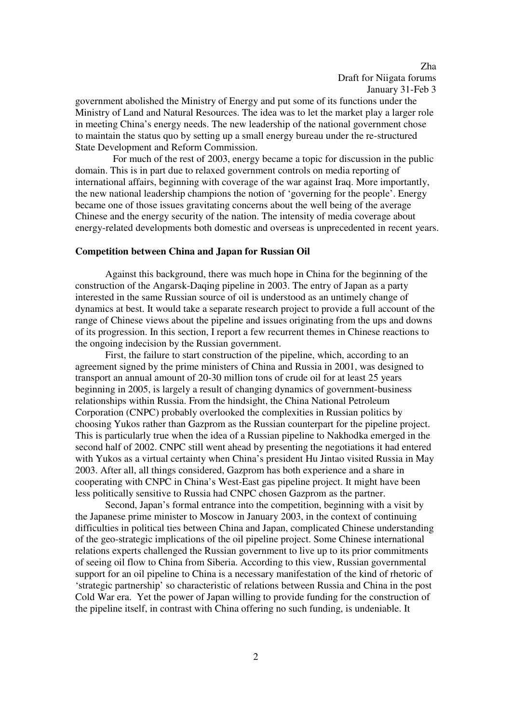government abolished the Ministry of Energy and put some of its functions under the Ministry of Land and Natural Resources. The idea was to let the market play a larger role in meeting China's energy needs. The new leadership of the national government chose to maintain the status quo by setting up a small energy bureau under the re-structured State Development and Reform Commission.

 For much of the rest of 2003, energy became a topic for discussion in the public domain. This is in part due to relaxed government controls on media reporting of international affairs, beginning with coverage of the war against Iraq. More importantly, the new national leadership champions the notion of 'governing for the people'. Energy became one of those issues gravitating concerns about the well being of the average Chinese and the energy security of the nation. The intensity of media coverage about energy-related developments both domestic and overseas is unprecedented in recent years.

## **Competition between China and Japan for Russian Oil**

Against this background, there was much hope in China for the beginning of the construction of the Angarsk-Daqing pipeline in 2003. The entry of Japan as a party interested in the same Russian source of oil is understood as an untimely change of dynamics at best. It would take a separate research project to provide a full account of the range of Chinese views about the pipeline and issues originating from the ups and downs of its progression. In this section, I report a few recurrent themes in Chinese reactions to the ongoing indecision by the Russian government.

First, the failure to start construction of the pipeline, which, according to an agreement signed by the prime ministers of China and Russia in 2001, was designed to transport an annual amount of 20-30 million tons of crude oil for at least 25 years beginning in 2005, is largely a result of changing dynamics of government-business relationships within Russia. From the hindsight, the China National Petroleum Corporation (CNPC) probably overlooked the complexities in Russian politics by choosing Yukos rather than Gazprom as the Russian counterpart for the pipeline project. This is particularly true when the idea of a Russian pipeline to Nakhodka emerged in the second half of 2002. CNPC still went ahead by presenting the negotiations it had entered with Yukos as a virtual certainty when China's president Hu Jintao visited Russia in May 2003. After all, all things considered, Gazprom has both experience and a share in cooperating with CNPC in China's West-East gas pipeline project. It might have been less politically sensitive to Russia had CNPC chosen Gazprom as the partner.

Second, Japan's formal entrance into the competition, beginning with a visit by the Japanese prime minister to Moscow in January 2003, in the context of continuing difficulties in political ties between China and Japan, complicated Chinese understanding of the geo-strategic implications of the oil pipeline project. Some Chinese international relations experts challenged the Russian government to live up to its prior commitments of seeing oil flow to China from Siberia. According to this view, Russian governmental support for an oil pipeline to China is a necessary manifestation of the kind of rhetoric of 'strategic partnership' so characteristic of relations between Russia and China in the post Cold War era. Yet the power of Japan willing to provide funding for the construction of the pipeline itself, in contrast with China offering no such funding, is undeniable. It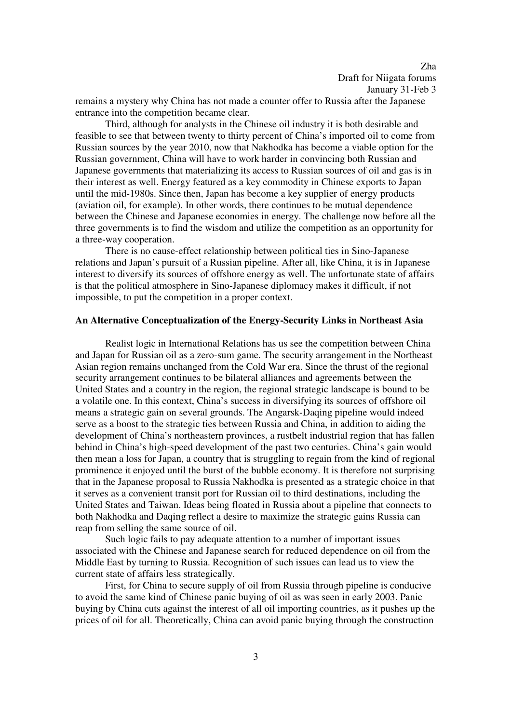remains a mystery why China has not made a counter offer to Russia after the Japanese entrance into the competition became clear.

Third, although for analysts in the Chinese oil industry it is both desirable and feasible to see that between twenty to thirty percent of China's imported oil to come from Russian sources by the year 2010, now that Nakhodka has become a viable option for the Russian government, China will have to work harder in convincing both Russian and Japanese governments that materializing its access to Russian sources of oil and gas is in their interest as well. Energy featured as a key commodity in Chinese exports to Japan until the mid-1980s. Since then, Japan has become a key supplier of energy products (aviation oil, for example). In other words, there continues to be mutual dependence between the Chinese and Japanese economies in energy. The challenge now before all the three governments is to find the wisdom and utilize the competition as an opportunity for a three-way cooperation.

There is no cause-effect relationship between political ties in Sino-Japanese relations and Japan's pursuit of a Russian pipeline. After all, like China, it is in Japanese interest to diversify its sources of offshore energy as well. The unfortunate state of affairs is that the political atmosphere in Sino-Japanese diplomacy makes it difficult, if not impossible, to put the competition in a proper context.

## **An Alternative Conceptualization of the Energy-Security Links in Northeast Asia**

Realist logic in International Relations has us see the competition between China and Japan for Russian oil as a zero-sum game. The security arrangement in the Northeast Asian region remains unchanged from the Cold War era. Since the thrust of the regional security arrangement continues to be bilateral alliances and agreements between the United States and a country in the region, the regional strategic landscape is bound to be a volatile one. In this context, China's success in diversifying its sources of offshore oil means a strategic gain on several grounds. The Angarsk-Daqing pipeline would indeed serve as a boost to the strategic ties between Russia and China, in addition to aiding the development of China's northeastern provinces, a rustbelt industrial region that has fallen behind in China's high-speed development of the past two centuries. China's gain would then mean a loss for Japan, a country that is struggling to regain from the kind of regional prominence it enjoyed until the burst of the bubble economy. It is therefore not surprising that in the Japanese proposal to Russia Nakhodka is presented as a strategic choice in that it serves as a convenient transit port for Russian oil to third destinations, including the United States and Taiwan. Ideas being floated in Russia about a pipeline that connects to both Nakhodka and Daqing reflect a desire to maximize the strategic gains Russia can reap from selling the same source of oil.

 Such logic fails to pay adequate attention to a number of important issues associated with the Chinese and Japanese search for reduced dependence on oil from the Middle East by turning to Russia. Recognition of such issues can lead us to view the current state of affairs less strategically.

 First, for China to secure supply of oil from Russia through pipeline is conducive to avoid the same kind of Chinese panic buying of oil as was seen in early 2003. Panic buying by China cuts against the interest of all oil importing countries, as it pushes up the prices of oil for all. Theoretically, China can avoid panic buying through the construction